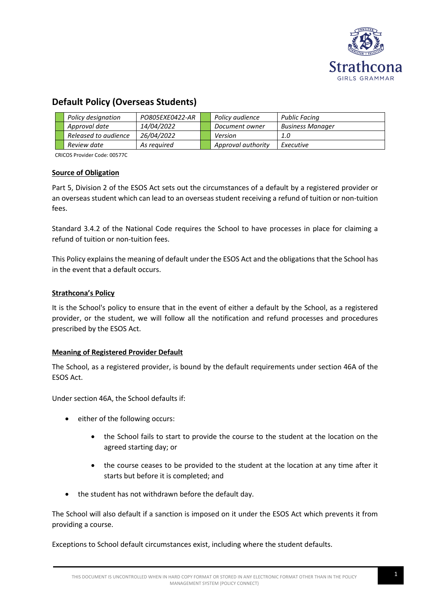

# **Default Policy (Overseas Students)**

| Policy designation   | PO805EXE0422-AR | Policy audience    | <b>Public Facing</b>    |
|----------------------|-----------------|--------------------|-------------------------|
| Approval date        | 14/04/2022      | Document owner     | <b>Business Manager</b> |
| Released to audience | 26/04/2022      | Version            | 1.0                     |
| Review date          | As reauired     | Approval authority | Executive               |

CRICOS Provider Code: 00577C

#### **Source of Obligation**

Part 5, Division 2 of the ESOS Act sets out the circumstances of a default by a registered provider or an overseas student which can lead to an overseas student receiving a refund of tuition or non-tuition fees.

Standard 3.4.2 of the National Code requires the School to have processes in place for claiming a refund of tuition or non-tuition fees.

This Policy explains the meaning of default under the ESOS Act and the obligations that the School has in the event that a default occurs.

## **Strathcona's Policy**

It is the School's policy to ensure that in the event of either a default by the School, as a registered provider, or the student, we will follow all the notification and refund processes and procedures prescribed by the ESOS Act.

# **Meaning of Registered Provider Default**

The School, as a registered provider, is bound by the default requirements under section 46A of the ESOS Act.

Under section 46A, the School defaults if:

- either of the following occurs:
	- the School fails to start to provide the course to the student at the location on the agreed starting day; or
	- the course ceases to be provided to the student at the location at any time after it starts but before it is completed; and
- the student has not withdrawn before the default day.

The School will also default if a sanction is imposed on it under the ESOS Act which prevents it from providing a course.

Exceptions to School default circumstances exist, including where the student defaults.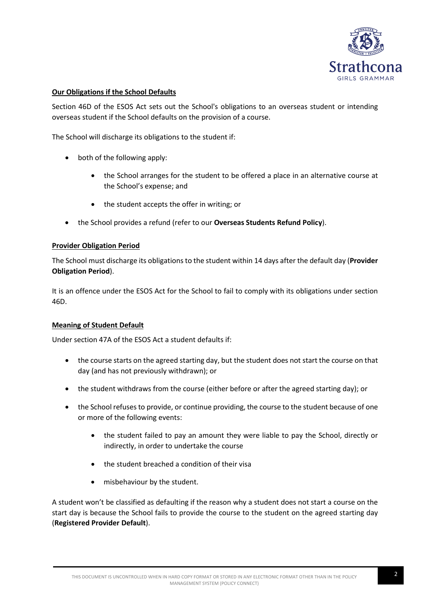

## **Our Obligations if the School Defaults**

Section 46D of the ESOS Act sets out the School's obligations to an overseas student or intending overseas student if the School defaults on the provision of a course.

The School will discharge its obligations to the student if:

- both of the following apply:
	- the School arranges for the student to be offered a place in an alternative course at the School's expense; and
	- the student accepts the offer in writing; or
- the School provides a refund (refer to our **Overseas Students Refund Policy**).

#### **Provider Obligation Period**

The School must discharge its obligations to the student within 14 days after the default day (**Provider Obligation Period**).

It is an offence under the ESOS Act for the School to fail to comply with its obligations under section 46D.

#### **Meaning of Student Default**

Under section 47A of the ESOS Act a student defaults if:

- the course starts on the agreed starting day, but the student does not start the course on that day (and has not previously withdrawn); or
- the student withdraws from the course (either before or after the agreed starting day); or
- the School refuses to provide, or continue providing, the course to the student because of one or more of the following events:
	- the student failed to pay an amount they were liable to pay the School, directly or indirectly, in order to undertake the course
	- the student breached a condition of their visa
	- misbehaviour by the student.

A student won't be classified as defaulting if the reason why a student does not start a course on the start day is because the School fails to provide the course to the student on the agreed starting day (**Registered Provider Default**).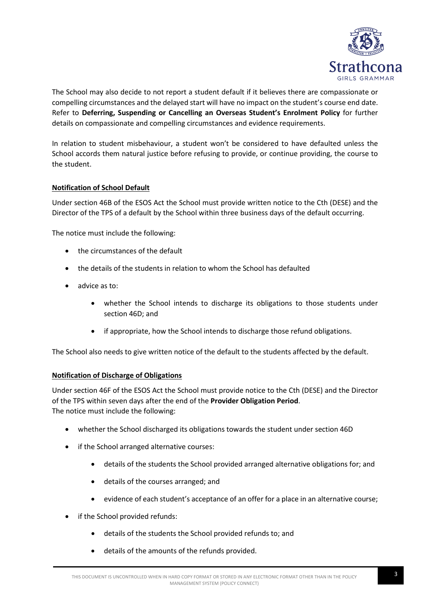

The School may also decide to not report a student default if it believes there are compassionate or compelling circumstances and the delayed start will have no impact on the student's course end date. Refer to **Deferring, Suspending or Cancelling an Overseas Student's Enrolment Policy** for further details on compassionate and compelling circumstances and evidence requirements.

In relation to student misbehaviour, a student won't be considered to have defaulted unless the School accords them natural justice before refusing to provide, or continue providing, the course to the student.

# **Notification of School Default**

Under section 46B of the ESOS Act the School must provide written notice to the Cth (DESE) and the Director of the TPS of a default by the School within three business days of the default occurring.

The notice must include the following:

- the circumstances of the default
- the details of the students in relation to whom the School has defaulted
- advice as to:
	- whether the School intends to discharge its obligations to those students under section 46D; and
	- if appropriate, how the School intends to discharge those refund obligations.

The School also needs to give written notice of the default to the students affected by the default.

#### **Notification of Discharge of Obligations**

Under section 46F of the ESOS Act the School must provide notice to the Cth (DESE) and the Director of the TPS within seven days after the end of the **Provider Obligation Period**. The notice must include the following:

- whether the School discharged its obligations towards the student under section 46D
- if the School arranged alternative courses:
	- details of the students the School provided arranged alternative obligations for; and
	- details of the courses arranged; and
	- evidence of each student's acceptance of an offer for a place in an alternative course;
- if the School provided refunds:
	- details of the students the School provided refunds to; and
	- details of the amounts of the refunds provided.